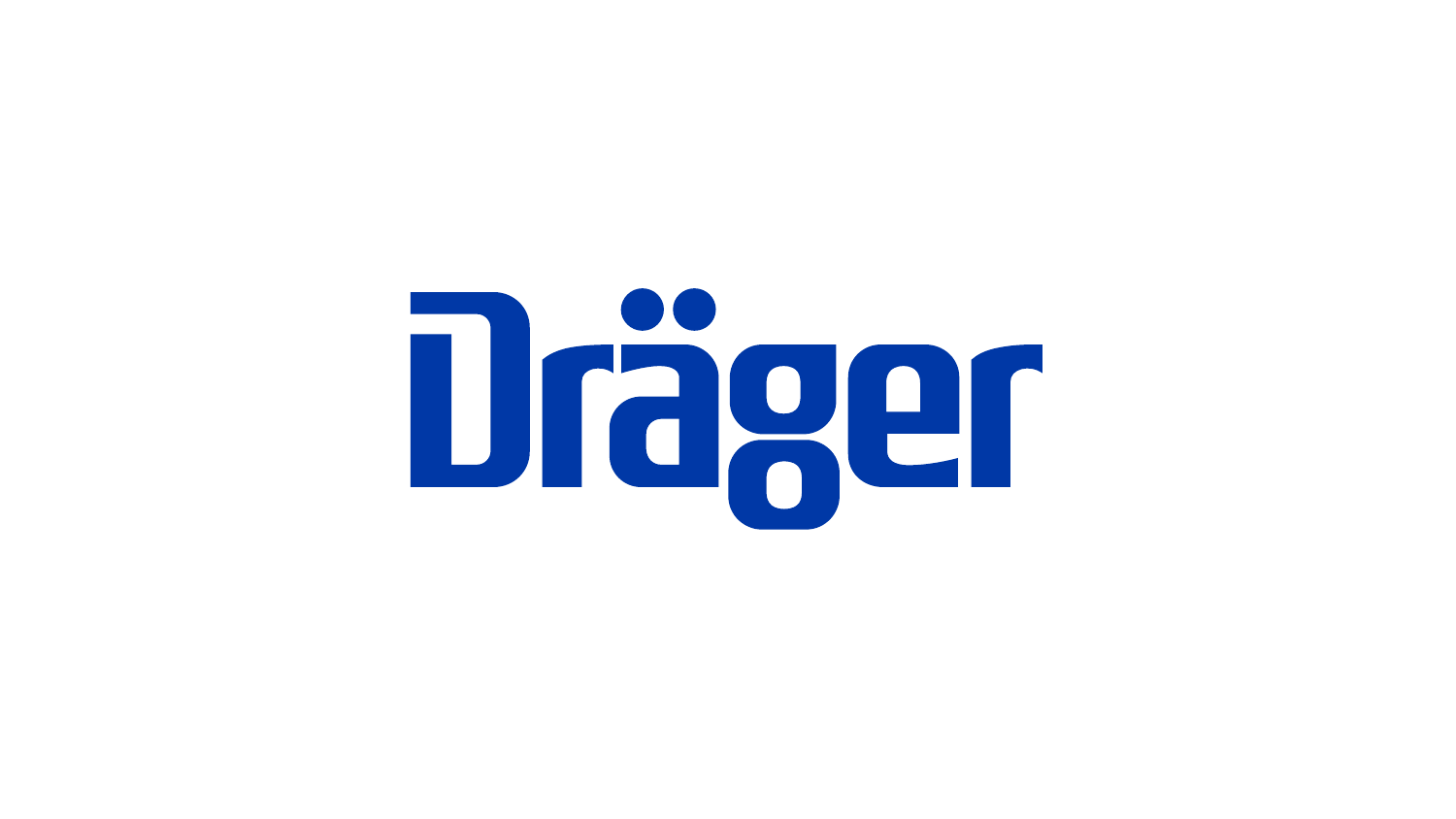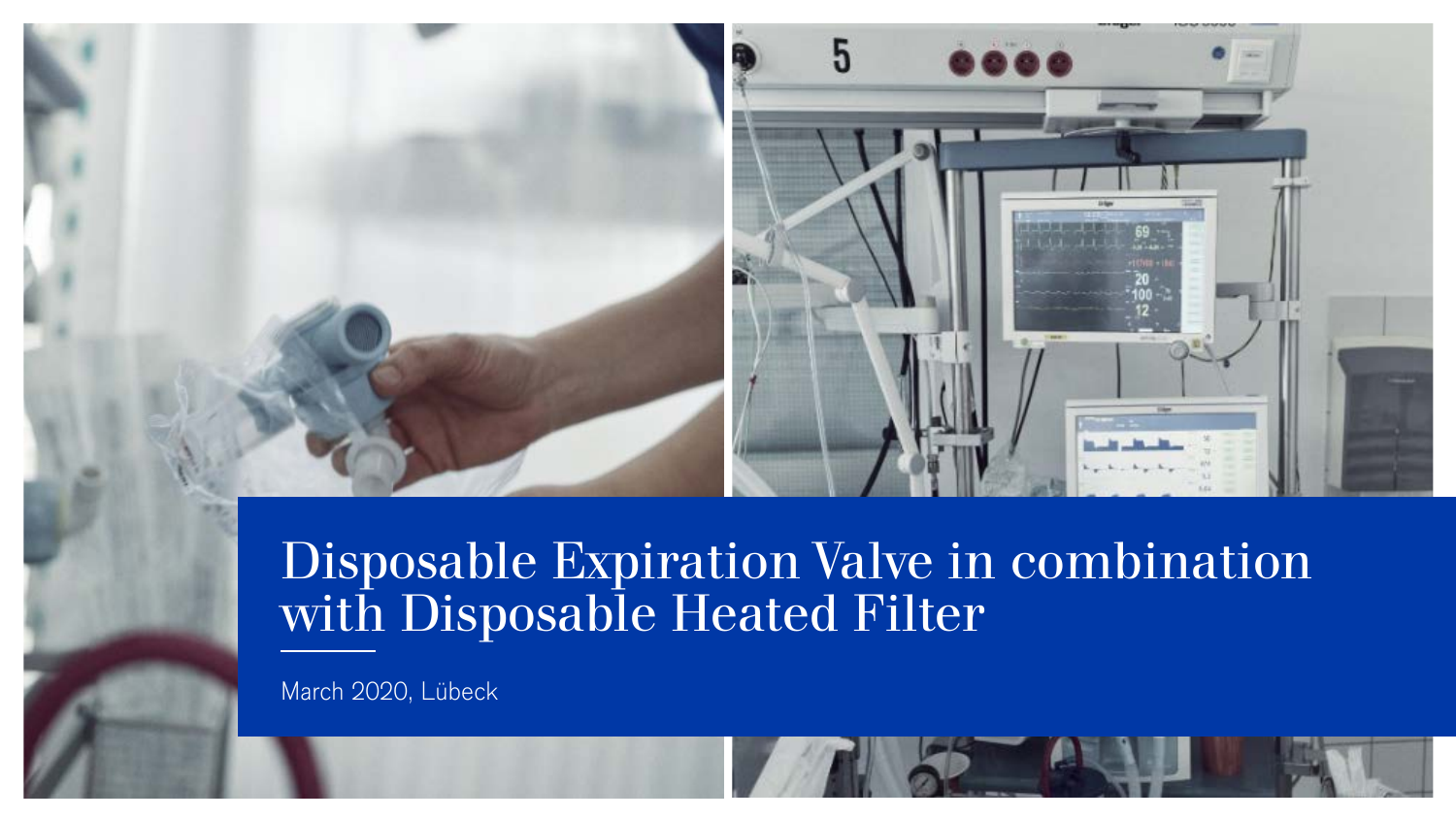

March 2020, Lübeck

© Drägerwerk AG & Co. KGaA, 2020

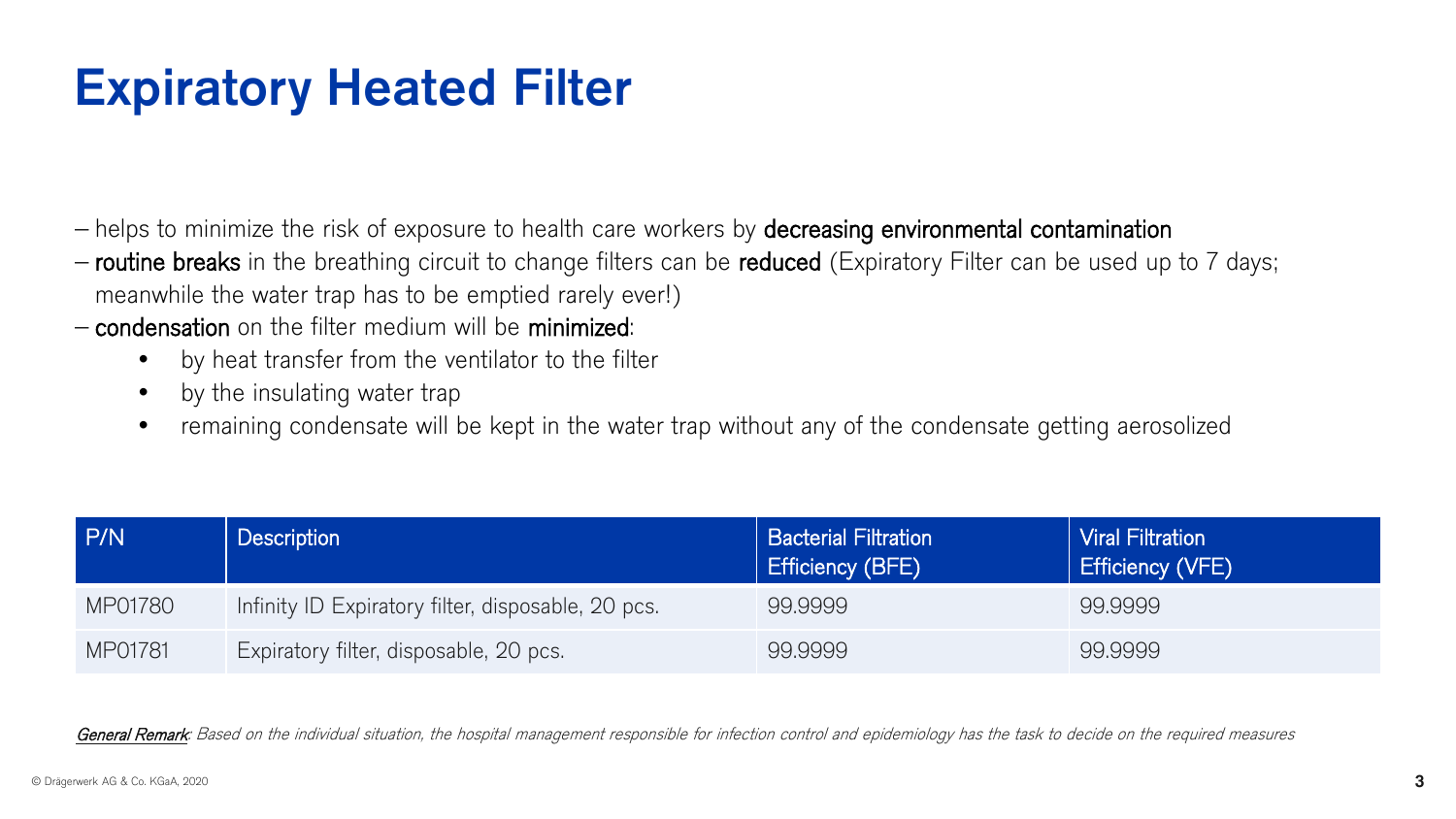# Expiratory Heated Filter

- − helps to minimize the risk of exposure to health care workers by decreasing environmental contamination
- − routine breaks in the breathing circuit to change filters can be reduced (Expiratory Filter can be used up to 7 days; meanwhile the water trap has to be emptied rarely ever!)
- − condensation on the filter medium will be minimized:
	- by heat transfer from the ventilator to the filter
	- by the insulating water trap
	- remaining condensate will be kept in the water trap without any of the condensate getting aerosolized

| P/N     | <b>Description</b>                                 | <b>Bacterial Filtration</b><br>Efficiency (BFE) | <b>Viral Filtration</b><br><b>Efficiency (VFE)</b> |
|---------|----------------------------------------------------|-------------------------------------------------|----------------------------------------------------|
| MP01780 | Infinity ID Expiratory filter, disposable, 20 pcs. | 99.9999                                         | 99.9999                                            |
| MP01781 | Expiratory filter, disposable, 20 pcs.             | 99.9999                                         | 99.9999                                            |

General Remark: Based on the individual situation, the hospital management responsible for infection control and epidemiology has the task to decide on the required measures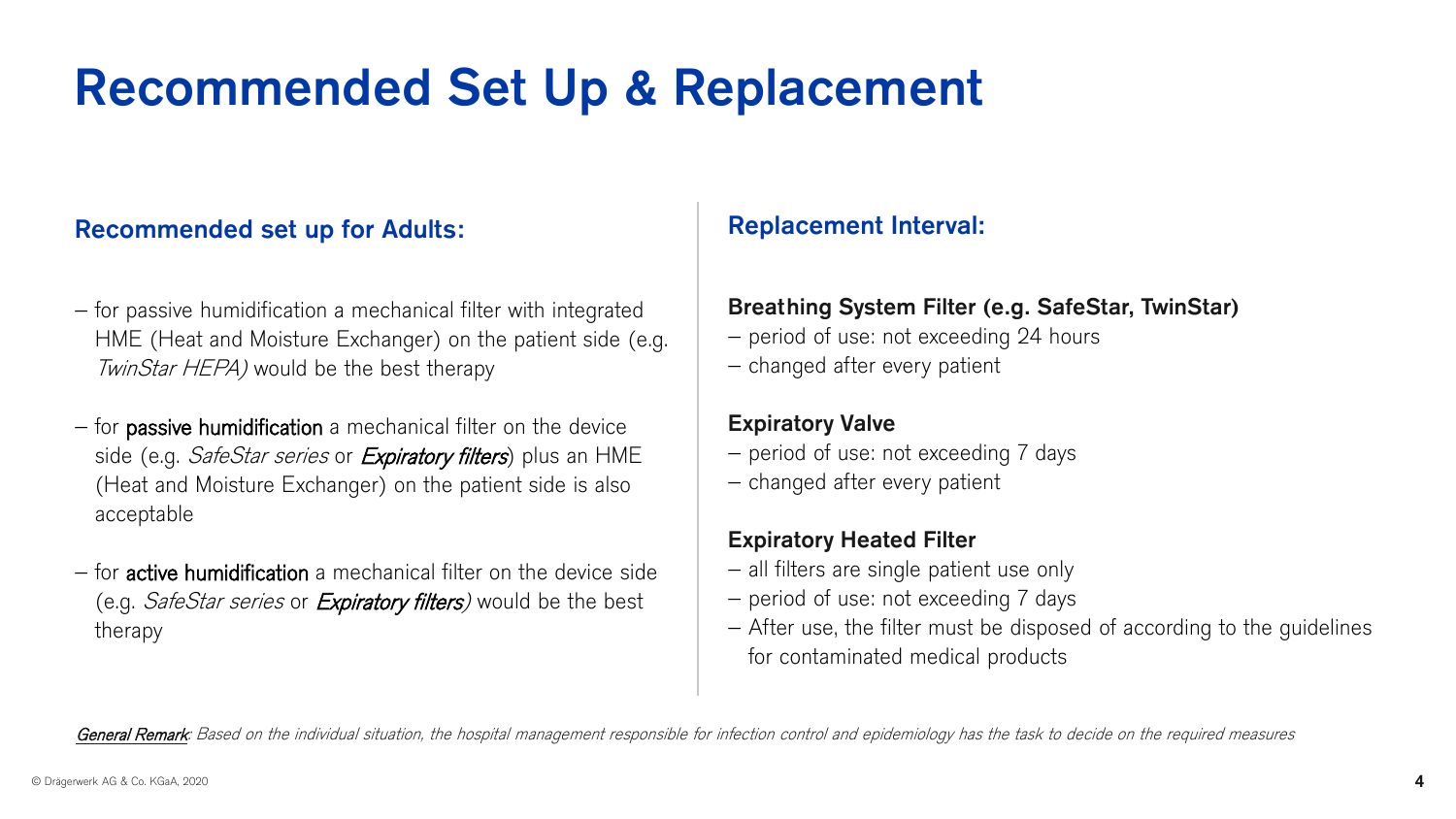# Recommended Set Up & Replacement

#### Recommended set up for Adults:

- − for passive humidification a mechanical filter with integrated HME (Heat and Moisture Exchanger) on the patient side (e.g. TwinStar HEPA) would be the best therapy
- − for passive humidification a mechanical filter on the device side (e.g. *SafeStar series* or *Expiratory filters*) plus an HME (Heat and Moisture Exchanger) on the patient side is also acceptable
- − for active humidification a mechanical filter on the device side (e.g. *SafeStar series* or *Expiratory filters*) would be the best therapy

#### Replacement Interval:

#### Breathing System Filter (e.g. SafeStar, TwinStar)

- − period of use: not exceeding 24 hours
- − changed after every patient

#### Expiratory Valve

- − period of use: not exceeding 7 days
- − changed after every patient

#### Expiratory Heated Filter

- − all filters are single patient use only
- − period of use: not exceeding 7 days
- − After use, the filter must be disposed of according to the guidelines for contaminated medical products

General Remark: Based on the individual situation, the hospital management responsible for infection control and epidemiology has the task to decide on the required measures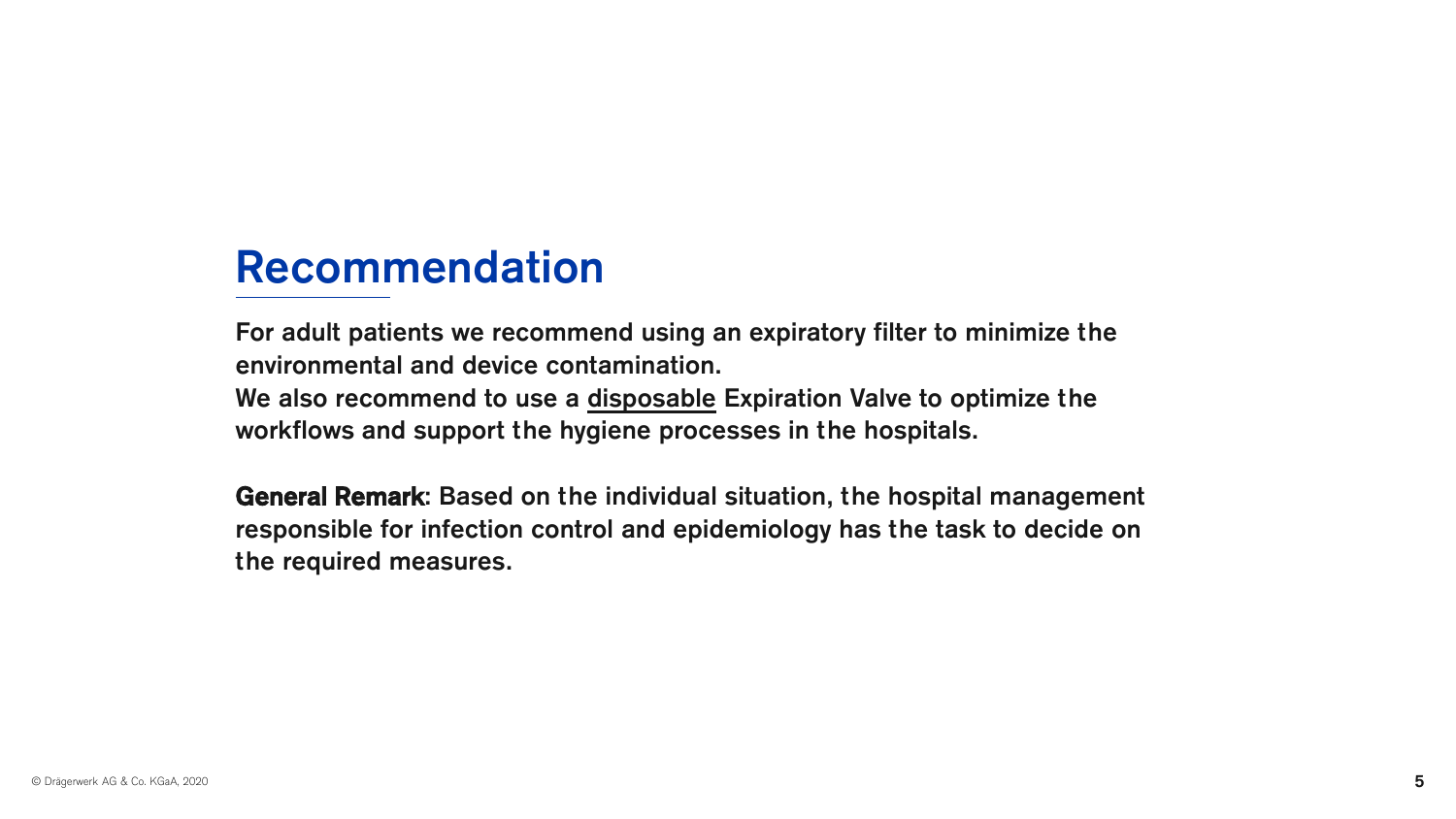## Recommendation

For adult patients we recommend using an expiratory filter to minimize the environmental and device contamination.

We also recommend to use a disposable Expiration Valve to optimize the workflows and support the hygiene processes in the hospitals.

General Remark: Based on the individual situation, the hospital management responsible for infection control and epidemiology has the task to decide on the required measures.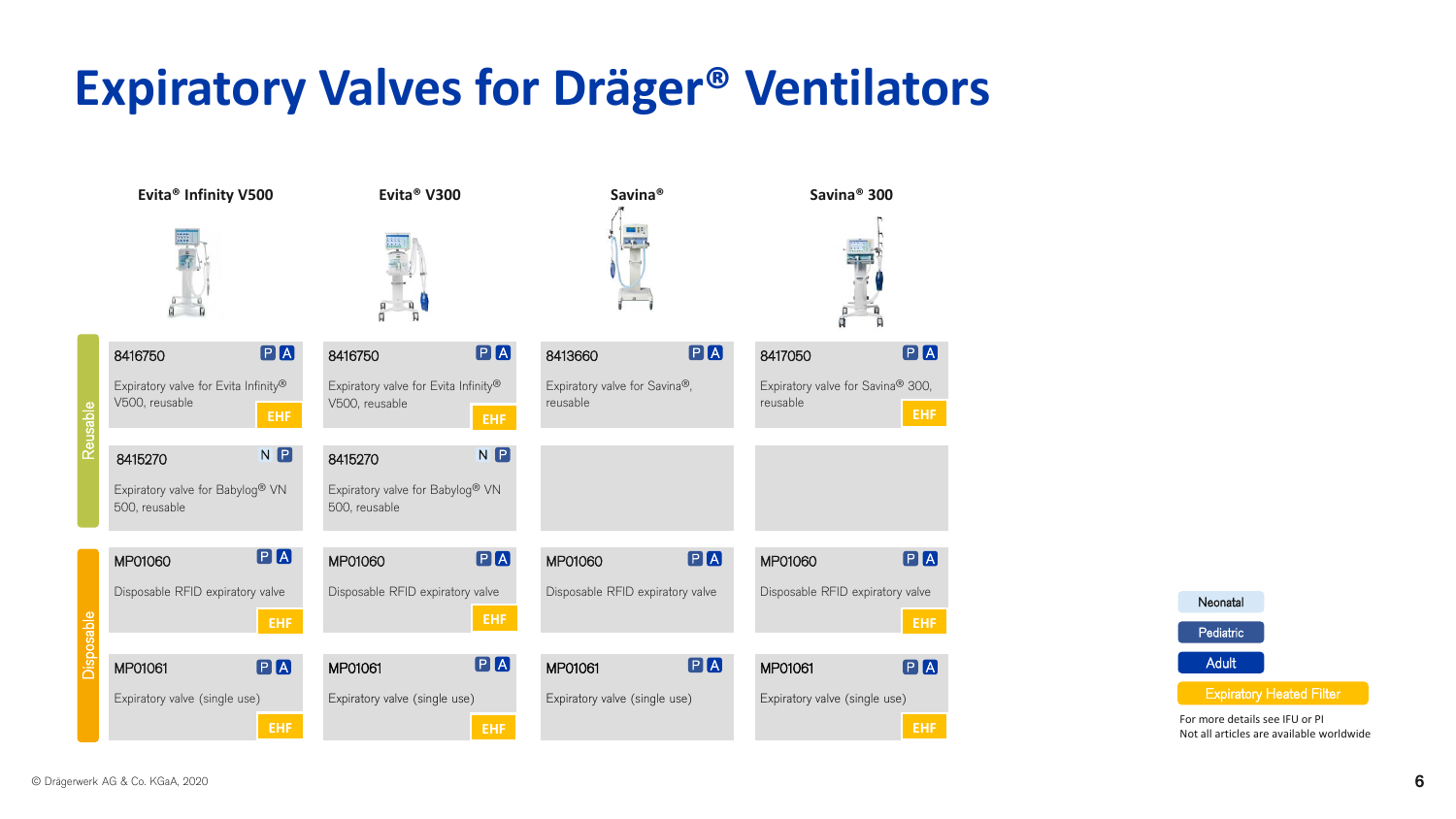# **Expiratory Valves for Dräger® Ventilators**





For more details see IFU or PI Not all articles are available worldwide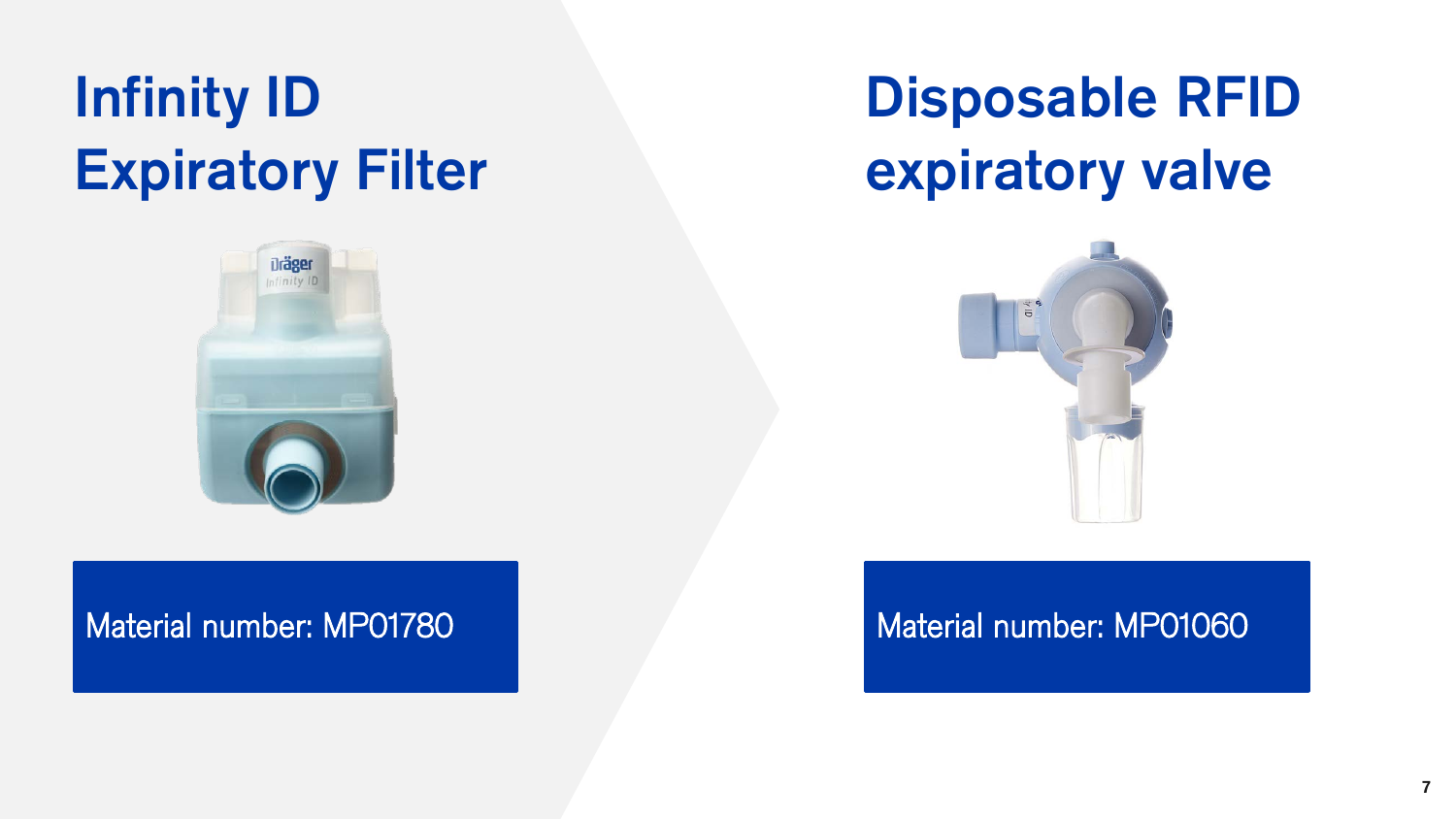# Infinity ID Expiratory Filter



# Disposable RFID expiratory valve



#### Material number: MP01780 Material number: MP01060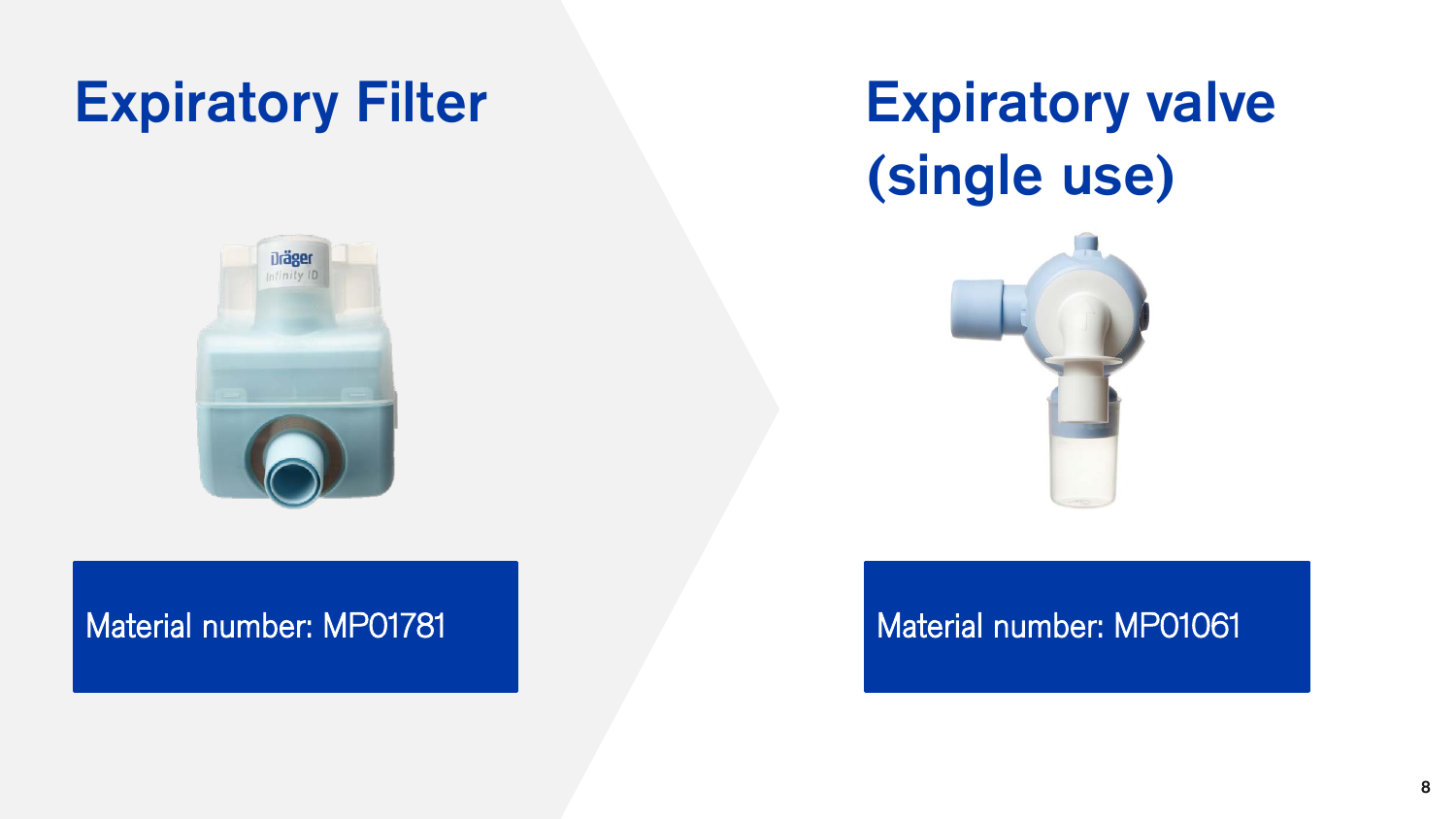# Expiratory Filter Expiratory valve

# (single use)





### Material number: MP01781 Material number: MP01061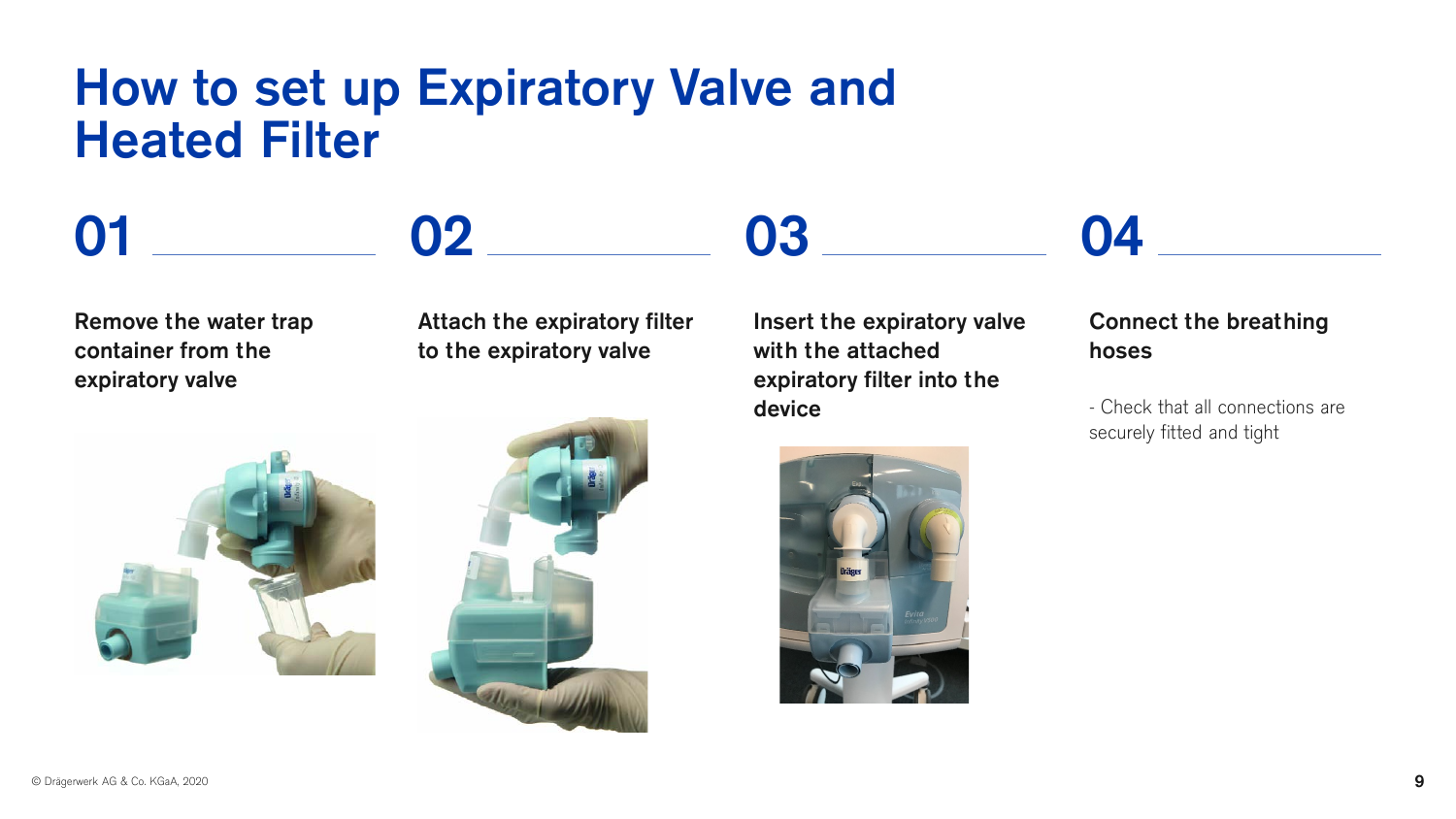## How to set up Expiratory Valve and Heated Filter

02

Remove the water trap container from the expiratory valve

01

#### Attach the expiratory filter to the expiratory valve





Insert the expiratory valve with the attached expiratory filter into the device

03



# 04

#### Connect the breathing hoses

- Check that all connections are securely fitted and tight